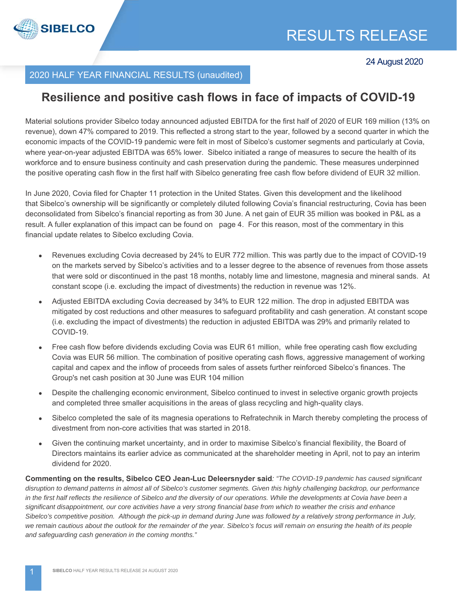

# 2020 HALF YEAR FINANCIAL RESULTS (unaudited)

# **Resilience and positive cash flows in face of impacts of COVID-19**

Material solutions provider Sibelco today announced adjusted EBITDA for the first half of 2020 of EUR 169 million (13% on revenue), down 47% compared to 2019. This reflected a strong start to the year, followed by a second quarter in which the economic impacts of the COVID-19 pandemic were felt in most of Sibelco's customer segments and particularly at Covia, where year-on-year adjusted EBITDA was 65% lower. Sibelco initiated a range of measures to secure the health of its workforce and to ensure business continuity and cash preservation during the pandemic. These measures underpinned the positive operating cash flow in the first half with Sibelco generating free cash flow before dividend of EUR 32 million.

In June 2020, Covia filed for Chapter 11 protection in the United States. Given this development and the likelihood that Sibelco's ownership will be significantly or completely diluted following Covia's financial restructuring, Covia has been deconsolidated from Sibelco's financial reporting as from 30 June. A net gain of EUR 35 million was booked in P&L as a result. A fuller explanation of this impact can be found on page 4. For this reason, most of the commentary in this financial update relates to Sibelco excluding Covia.

- Revenues excluding Covia decreased by 24% to EUR 772 million. This was partly due to the impact of COVID-19 on the markets served by Sibelco's activities and to a lesser degree to the absence of revenues from those assets that were sold or discontinued in the past 18 months, notably lime and limestone, magnesia and mineral sands. At constant scope (i.e. excluding the impact of divestments) the reduction in revenue was 12%.
- Adjusted EBITDA excluding Covia decreased by 34% to EUR 122 million. The drop in adjusted EBITDA was mitigated by cost reductions and other measures to safeguard profitability and cash generation. At constant scope (i.e. excluding the impact of divestments) the reduction in adjusted EBITDA was 29% and primarily related to COVID-19.
- Free cash flow before dividends excluding Covia was EUR 61 million, while free operating cash flow excluding Covia was EUR 56 million. The combination of positive operating cash flows, aggressive management of working capital and capex and the inflow of proceeds from sales of assets further reinforced Sibelco's finances. The Group's net cash position at 30 June was EUR 104 million
- Despite the challenging economic environment, Sibelco continued to invest in selective organic growth projects and completed three smaller acquisitions in the areas of glass recycling and high-quality clays.
- Sibelco completed the sale of its magnesia operations to Refratechnik in March thereby completing the process of divestment from non-core activities that was started in 2018.
- Given the continuing market uncertainty, and in order to maximise Sibelco's financial flexibility, the Board of Directors maintains its earlier advice as communicated at the shareholder meeting in April, not to pay an interim dividend for 2020.

**Commenting on the results, Sibelco CEO Jean-Luc Deleersnyder said***: "The COVID-19 pandemic has caused significant disruption to demand patterns in almost all of Sibelco's customer segments. Given this highly challenging backdrop, our performance*  in the first half reflects the resilience of Sibelco and the diversity of our operations. While the developments at Covia have been a *significant disappointment, our core activities have a very strong financial base from which to weather the crisis and enhance Sibelco's competitive position. Although the pick-up in demand during June was followed by a relatively strong performance in July, we remain cautious about the outlook for the remainder of the year. Sibelco's focus will remain on ensuring the health of its people and safeguarding cash generation in the coming months."*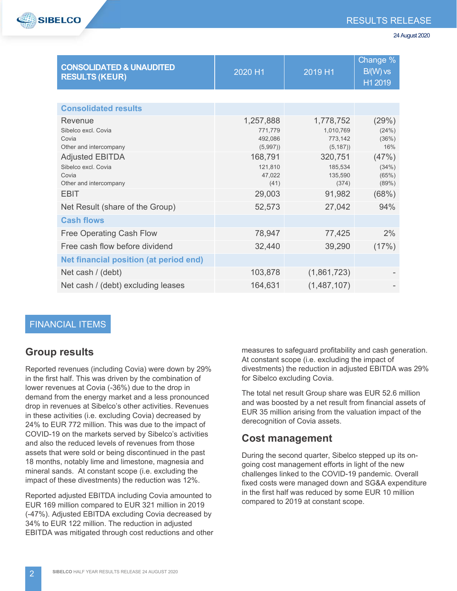

| <b>CONSOLIDATED &amp; UNAUDITED</b><br><b>RESULTS (KEUR)</b>                     | 2020 H1                                    | 2019 H1                                       | Change %<br>$B/(W)$ vs<br>H1 2019 |
|----------------------------------------------------------------------------------|--------------------------------------------|-----------------------------------------------|-----------------------------------|
|                                                                                  |                                            |                                               |                                   |
| <b>Consolidated results</b>                                                      |                                            |                                               |                                   |
| Revenue<br>Sibelco excl. Covia<br>Covia<br>Other and intercompany                | 1,257,888<br>771,779<br>492,086<br>(5,997) | 1,778,752<br>1,010,769<br>773,142<br>(5, 187) | (29%)<br>(24%)<br>(36%)<br>16%    |
| <b>Adjusted EBITDA</b><br>Sibelco excl. Covia<br>Covia<br>Other and intercompany | 168,791<br>121.810<br>47,022<br>(41)       | 320,751<br>185,534<br>135,590<br>(374)        | (47%)<br>(34%)<br>(65%)<br>(89%)  |
| <b>EBIT</b>                                                                      | 29,003                                     | 91,982                                        | (68%)                             |
| Net Result (share of the Group)                                                  | 52,573                                     | 27,042                                        | 94%                               |
| <b>Cash flows</b>                                                                |                                            |                                               |                                   |
| <b>Free Operating Cash Flow</b>                                                  | 78,947                                     | 77,425                                        | 2%                                |
| Free cash flow before dividend                                                   | 32,440                                     | 39,290                                        | (17%)                             |
| Net financial position (at period end)                                           |                                            |                                               |                                   |
| Net cash / (debt)                                                                | 103,878                                    | (1,861,723)                                   |                                   |
| Net cash / (debt) excluding leases                                               | 164,631                                    | (1, 487, 107)                                 |                                   |

#### FINANCIAL ITEMS

#### **Group results**

Reported revenues (including Covia) were down by 29% in the first half. This was driven by the combination of lower revenues at Covia (-36%) due to the drop in demand from the energy market and a less pronounced drop in revenues at Sibelco's other activities. Revenues in these activities (i.e. excluding Covia) decreased by 24% to EUR 772 million. This was due to the impact of COVID-19 on the markets served by Sibelco's activities and also the reduced levels of revenues from those assets that were sold or being discontinued in the past 18 months, notably lime and limestone, magnesia and mineral sands. At constant scope (i.e. excluding the impact of these divestments) the reduction was 12%.

Reported adjusted EBITDA including Covia amounted to EUR 169 million compared to EUR 321 million in 2019 (-47%). Adjusted EBITDA excluding Covia decreased by 34% to EUR 122 million. The reduction in adjusted EBITDA was mitigated through cost reductions and other

measures to safeguard profitability and cash generation. At constant scope (i.e. excluding the impact of divestments) the reduction in adjusted EBITDA was 29% for Sibelco excluding Covia.

The total net result Group share was EUR 52.6 million and was boosted by a net result from financial assets of EUR 35 million arising from the valuation impact of the derecognition of Covia assets.

#### **Cost management**

During the second quarter, Sibelco stepped up its ongoing cost management efforts in light of the new challenges linked to the COVID-19 pandemic. Overall fixed costs were managed down and SG&A expenditure in the first half was reduced by some EUR 10 million compared to 2019 at constant scope.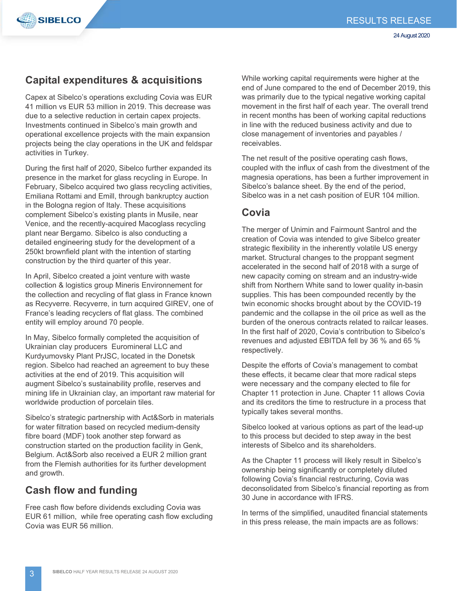

# **Capital expenditures & acquisitions**

Capex at Sibelco's operations excluding Covia was EUR 41 million vs EUR 53 million in 2019. This decrease was due to a selective reduction in certain capex projects. Investments continued in Sibelco's main growth and operational excellence projects with the main expansion projects being the clay operations in the UK and feldspar activities in Turkey.

During the first half of 2020, Sibelco further expanded its presence in the market for glass recycling in Europe. In February, Sibelco acquired two glass recycling activities, Emiliana Rottami and Emill, through bankruptcy auction in the Bologna region of Italy. These acquisitions complement Sibelco's existing plants in Musile, near Venice, and the recently-acquired Macoglass recycling plant near Bergamo. Sibelco is also conducting a detailed engineering study for the development of a 250kt brownfield plant with the intention of starting construction by the third quarter of this year.

In April, Sibelco created a joint venture with waste collection & logistics group Mineris Environnement for the collection and recycling of flat glass in France known as Recyverre. Recyverre, in turn acquired GIREV, one of France's leading recyclers of flat glass. The combined entity will employ around 70 people.

In May, Sibelco formally completed the acquisition of Ukrainian clay producers Euromineral LLC and Kurdyumovsky Plant PrJSC, located in the Donetsk region. Sibelco had reached an agreement to buy these activities at the end of 2019. This acquisition will augment Sibelco's sustainability profile, reserves and mining life in Ukrainian clay, an important raw material for worldwide production of porcelain tiles.

Sibelco's strategic partnership with Act&Sorb in materials for water filtration based on recycled medium-density fibre board (MDF) took another step forward as construction started on the production facility in Genk, Belgium. Act&Sorb also received a EUR 2 million grant from the Flemish authorities for its further development and growth.

### **Cash flow and funding**

Free cash flow before dividends excluding Covia was EUR 61 million, while free operating cash flow excluding Covia was EUR 56 million.

While working capital requirements were higher at the end of June compared to the end of December 2019, this was primarily due to the typical negative working capital movement in the first half of each year. The overall trend in recent months has been of working capital reductions in line with the reduced business activity and due to close management of inventories and payables / receivables.

The net result of the positive operating cash flows, coupled with the influx of cash from the divestment of the magnesia operations, has been a further improvement in Sibelco's balance sheet. By the end of the period, Sibelco was in a net cash position of EUR 104 million.

### **Covia**

The merger of Unimin and Fairmount Santrol and the creation of Covia was intended to give Sibelco greater strategic flexibility in the inherently volatile US energy market. Structural changes to the proppant segment accelerated in the second half of 2018 with a surge of new capacity coming on stream and an industry-wide shift from Northern White sand to lower quality in-basin supplies. This has been compounded recently by the twin economic shocks brought about by the COVID-19 pandemic and the collapse in the oil price as well as the burden of the onerous contracts related to railcar leases. In the first half of 2020, Covia's contribution to Sibelco's revenues and adjusted EBITDA fell by 36 % and 65 % respectively.

Despite the efforts of Covia's management to combat these effects, it became clear that more radical steps were necessary and the company elected to file for Chapter 11 protection in June. Chapter 11 allows Covia and its creditors the time to restructure in a process that typically takes several months.

Sibelco looked at various options as part of the lead-up to this process but decided to step away in the best interests of Sibelco and its shareholders.

As the Chapter 11 process will likely result in Sibelco's ownership being significantly or completely diluted following Covia's financial restructuring, Covia was deconsolidated from Sibelco's financial reporting as from 30 June in accordance with IFRS.

In terms of the simplified, unaudited financial statements in this press release, the main impacts are as follows: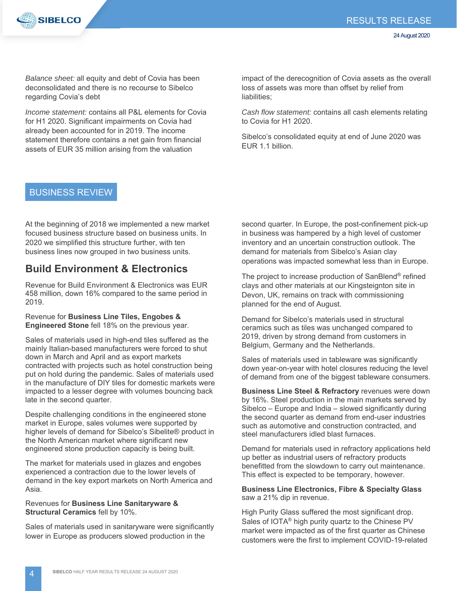

*Balance sheet:* all equity and debt of Covia has been deconsolidated and there is no recourse to Sibelco regarding Covia's debt

*Income statement:* contains all P&L elements for Covia for H1 2020. Significant impairments on Covia had already been accounted for in 2019. The income statement therefore contains a net gain from financial assets of EUR 35 million arising from the valuation

impact of the derecognition of Covia assets as the overall loss of assets was more than offset by relief from liabilities:

*Cash flow statement:* contains all cash elements relating to Covia for H1 2020.

Sibelco's consolidated equity at end of June 2020 was EUR 1.1 billion.

#### BUSINESS REVIEW

At the beginning of 2018 we implemented a new market focused business structure based on business units. In 2020 we simplified this structure further, with ten business lines now grouped in two business units.

#### **Build Environment & Electronics**

Revenue for Build Environment & Electronics was EUR 458 million, down 16% compared to the same period in 2019.

Revenue for **Business Line Tiles, Engobes & Engineered Stone** fell 18% on the previous year.

Sales of materials used in high-end tiles suffered as the mainly Italian-based manufacturers were forced to shut down in March and April and as export markets contracted with projects such as hotel construction being put on hold during the pandemic. Sales of materials used in the manufacture of DIY tiles for domestic markets were impacted to a lesser degree with volumes bouncing back late in the second quarter.

Despite challenging conditions in the engineered stone market in Europe, sales volumes were supported by higher levels of demand for Sibelco's Sibelite® product in the North American market where significant new engineered stone production capacity is being built.

The market for materials used in glazes and engobes experienced a contraction due to the lower levels of demand in the key export markets on North America and Asia.

Revenues for **Business Line Sanitaryware & Structural Ceramics** fell by 10%.

Sales of materials used in sanitaryware were significantly lower in Europe as producers slowed production in the

second quarter. In Europe, the post-confinement pick-up in business was hampered by a high level of customer inventory and an uncertain construction outlook. The demand for materials from Sibelco's Asian clay operations was impacted somewhat less than in Europe.

The project to increase production of SanBlend® refined clays and other materials at our Kingsteignton site in Devon, UK, remains on track with commissioning planned for the end of August.

Demand for Sibelco's materials used in structural ceramics such as tiles was unchanged compared to 2019, driven by strong demand from customers in Belgium, Germany and the Netherlands.

Sales of materials used in tableware was significantly down year-on-year with hotel closures reducing the level of demand from one of the biggest tableware consumers.

**Business Line Steel & Refractory** revenues were down by 16%. Steel production in the main markets served by Sibelco – Europe and India – slowed significantly during the second quarter as demand from end-user industries such as automotive and construction contracted, and steel manufacturers idled blast furnaces.

Demand for materials used in refractory applications held up better as industrial users of refractory products benefitted from the slowdown to carry out maintenance. This effect is expected to be temporary, however.

**Business Line Electronics, Fibre & Specialty Glass** saw a 21% dip in revenue.

High Purity Glass suffered the most significant drop. Sales of IOTA® high purity quartz to the Chinese PV market were impacted as of the first quarter as Chinese customers were the first to implement COVID-19-related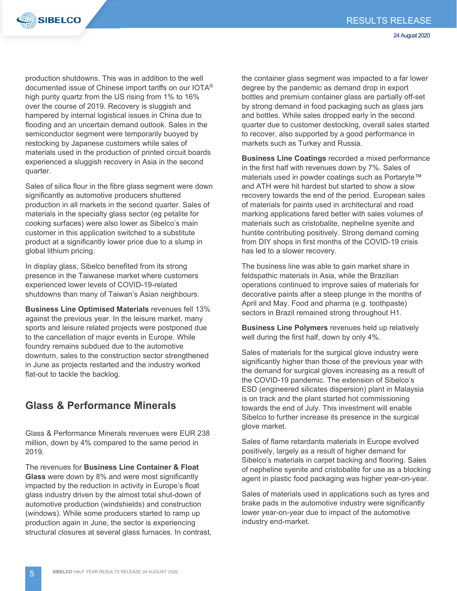

production shutdowns. This was in addition to the well documented issue of Chinese import tariffs on our IOTA® high purity quartz from the US rising from 1% to 16% over the course of 2019. Recovery is sluggish and hampered by internal logistical issues in China due to flooding and an uncertain demand outlook. Sales in the semiconductor segment were temporarily buoyed by restocking by Japanese customers while sales of materials used in the production of printed circuit boards experienced a sluggish recovery in Asia in the second quarter.

Sales of silica flour in the fibre glass segment were down significantly as automotive producers shuttered production in all markets in the second quarter. Sales of materials in the specialty glass sector (eg petalite for cooking surfaces) were also lower as Sibelco's main customer in this application switched to a substitute product at a significantly lower price due to a slump in global lithium pricing.

In display glass, Sibelco benefited from its strong presence in the Taiwanese market where customers experienced lower levels of COVID-19-related shutdowns than many of Taiwan's Asian neighbours.

**Business Line Optimised Materials** revenues fell 13% against the previous year. In the leisure market, many sports and leisure related projects were postponed due to the cancellation of major events in Europe. While foundry remains subdued due to the automotive downturn, sales to the construction sector strengthened in June as projects restarted and the industry worked flat-out to tackle the backlog.

### **Glass & Performance Minerals**

Glass & Performance Minerals revenues were EUR 238 million, down by 4% compared to the same period in 2019.

The revenues for **Business Line Container & Float Glass** were down by 8% and were most significantly impacted by the reduction in activity in Europe's float glass industry driven by the almost total shut-down of automotive production (windshields) and construction (windows). While some producers started to ramp up production again in June, the sector is experiencing structural closures at several glass furnaces. In contrast, the container glass segment was impacted to a far lower degree by the pandemic as demand drop in export bottles and premium container glass are partially off-set by strong demand in food packaging such as glass jars and bottles. While sales dropped early in the second quarter due to customer destocking, overall sales started to recover, also supported by a good performance in markets such as Turkey and Russia.

**Business Line Coatings** recorded a mixed performance in the first half with revenues down by 7%. Sales of materials used in powder coatings such as Portaryte™ and ATH were hit hardest but started to show a slow recovery towards the end of the period. European sales of materials for paints used in architectural and road marking applications fared better with sales volumes of materials such as cristobalite, nepheline syenite and huntite contributing positively. Strong demand coming from DIY shops in first months of the COVID-19 crisis has led to a slower recovery.

The business line was able to gain market share in feldspathic materials in Asia, while the Brazilian operations continued to improve sales of materials for decorative paints after a steep plunge in the months of April and May. Food and pharma (e.g. toothpaste) sectors in Brazil remained strong throughout H1.

**Business Line Polymers** revenues held up relatively well during the first half, down by only 4%.

Sales of materials for the surgical glove industry were significantly higher than those of the previous year with the demand for surgical gloves increasing as a result of the COVID-19 pandemic. The extension of Sibelco's ESD (engineered silicates dispersion) plant in Malaysia is on track and the plant started hot commissioning towards the end of July. This investment will enable Sibelco to further increase its presence in the surgical glove market.

Sales of flame retardants materials in Europe evolved positively, largely as a result of higher demand for Sibelco's materials in carpet backing and flooring. Sales of nepheline syenite and cristobalite for use as a blocking agent in plastic food packaging was higher year-on-year.

Sales of materials used in applications such as tyres and brake pads in the automotive industry were significantly lower year-on-year due to impact of the automotive industry end-market.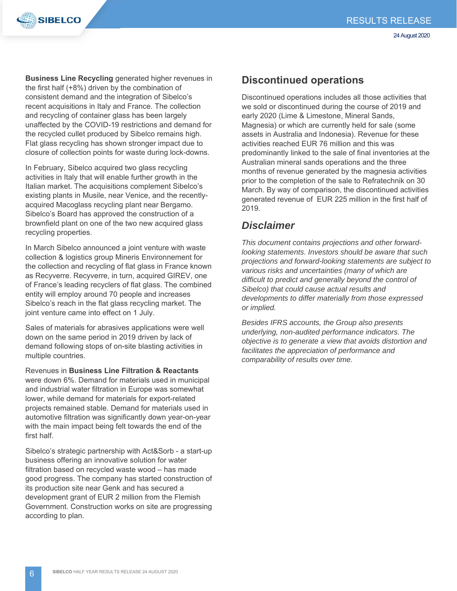



**Business Line Recycling** generated higher revenues in the first half (+8%) driven by the combination of consistent demand and the integration of Sibelco's recent acquisitions in Italy and France. The collection and recycling of container glass has been largely unaffected by the COVID-19 restrictions and demand for the recycled cullet produced by Sibelco remains high. Flat glass recycling has shown stronger impact due to closure of collection points for waste during lock-downs.

In February, Sibelco acquired two glass recycling activities in Italy that will enable further growth in the Italian market. The acquisitions complement Sibelco's existing plants in Musile, near Venice, and the recentlyacquired Macoglass recycling plant near Bergamo. Sibelco's Board has approved the construction of a brownfield plant on one of the two new acquired glass recycling properties.

In March Sibelco announced a joint venture with waste collection & logistics group Mineris Environnement for the collection and recycling of flat glass in France known as Recyverre. Recyverre, in turn, acquired GIREV, one of France's leading recyclers of flat glass. The combined entity will employ around 70 people and increases Sibelco's reach in the flat glass recycling market. The joint venture came into effect on 1 July.

Sales of materials for abrasives applications were well down on the same period in 2019 driven by lack of demand following stops of on-site blasting activities in multiple countries.

Revenues in **Business Line Filtration & Reactants** were down 6%. Demand for materials used in municipal and industrial water filtration in Europe was somewhat lower, while demand for materials for export-related projects remained stable. Demand for materials used in automotive filtration was significantly down year-on-year with the main impact being felt towards the end of the first half.

Sibelco's strategic partnership with Act&Sorb - a start-up business offering an innovative solution for water filtration based on recycled waste wood – has made good progress. The company has started construction of its production site near Genk and has secured a development grant of EUR 2 million from the Flemish Government. Construction works on site are progressing according to plan.

### **Discontinued operations**

Discontinued operations includes all those activities that we sold or discontinued during the course of 2019 and early 2020 (Lime & Limestone, Mineral Sands, Magnesia) or which are currently held for sale (some assets in Australia and Indonesia). Revenue for these activities reached EUR 76 million and this was predominantly linked to the sale of final inventories at the Australian mineral sands operations and the three months of revenue generated by the magnesia activities prior to the completion of the sale to Refratechnik on 30 March. By way of comparison, the discontinued activities generated revenue of EUR 225 million in the first half of 2019.

### *Disclaimer*

*This document contains projections and other forwardlooking statements. Investors should be aware that such projections and forward-looking statements are subject to various risks and uncertainties (many of which are difficult to predict and generally beyond the control of Sibelco) that could cause actual results and developments to differ materially from those expressed or implied.* 

*Besides IFRS accounts, the Group also presents underlying, non-audited performance indicators. The objective is to generate a view that avoids distortion and facilitates the appreciation of performance and comparability of results over time.*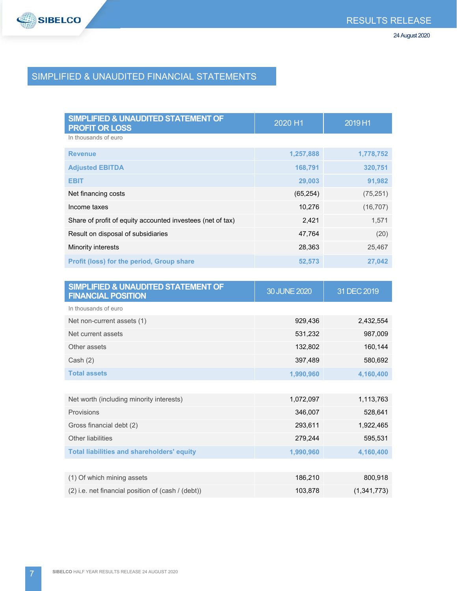

# SIMPLIFIED & UNAUDITED FINANCIAL STATEMENTS

| <b>SIMPLIFIED &amp; UNAUDITED STATEMENT OF</b><br><b>PROFIT OR LOSS</b> | 2020 H1   | 2019 H1   |
|-------------------------------------------------------------------------|-----------|-----------|
| In thousands of euro                                                    |           |           |
| <b>Revenue</b>                                                          | 1,257,888 | 1,778,752 |
| <b>Adjusted EBITDA</b>                                                  | 168,791   | 320,751   |
| <b>EBIT</b>                                                             | 29,003    | 91,982    |
| Net financing costs                                                     | (65, 254) | (75, 251) |
| Income taxes                                                            | 10,276    | (16, 707) |
| Share of profit of equity accounted investees (net of tax)              | 2,421     | 1,571     |
| Result on disposal of subsidiaries                                      | 47,764    | (20)      |
| Minority interests                                                      | 28,363    | 25,467    |
| Profit (loss) for the period, Group share                               | 52,573    | 27,042    |
|                                                                         |           |           |
| CIMBLE FIER O HALLINITER OT A TEMENIT OF                                |           |           |

| SIMPLIFIED & UNAUDITED STATEMENT OF<br><b>FINANCIAL POSITION</b> | 30 JUNE 2020 | 31 DEC 2019 |
|------------------------------------------------------------------|--------------|-------------|
| In thousands of euro                                             |              |             |
| Net non-current assets (1)                                       | 929,436      | 2,432,554   |
| Net current assets                                               | 531,232      | 987,009     |
| Other assets                                                     | 132,802      | 160,144     |
| Cash $(2)$                                                       | 397,489      | 580,692     |
| <b>Total assets</b>                                              | 1,990,960    | 4,160,400   |
|                                                                  |              |             |
| Net worth (including minority interests)                         | 1,072,097    | 1,113,763   |
| Provisions                                                       | 346,007      | 528,641     |
| Gross financial debt (2)                                         | 293,611      | 1,922,465   |
| Other liabilities                                                | 279,244      | 595,531     |
| <b>Total liabilities and shareholders' equity</b>                | 1,990,960    | 4,160,400   |
|                                                                  |              |             |
| (1) Of which mining assets                                       | 186,210      | 800,918     |
| (2) i.e. net financial position of (cash / (debt))               | 103,878      | (1,341,773) |